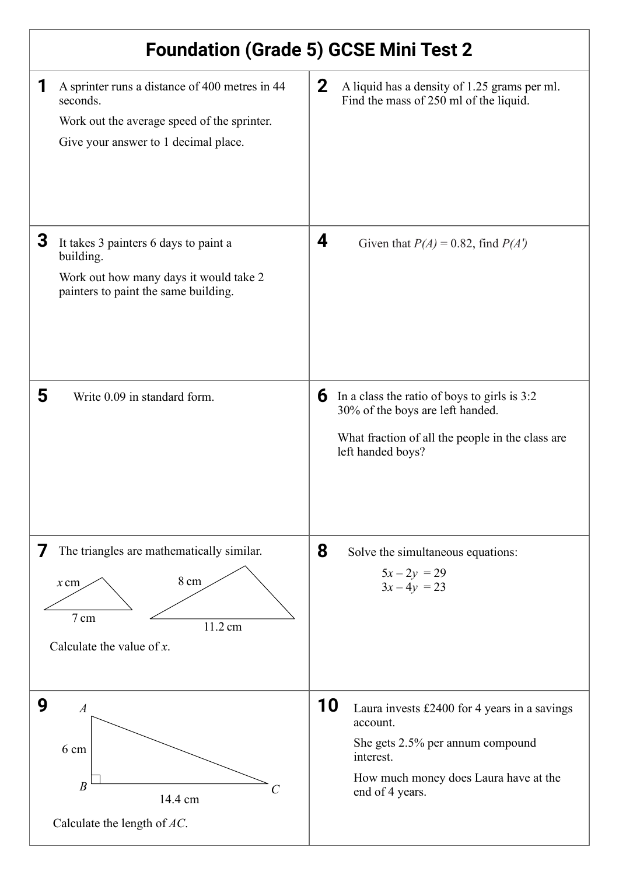| <b>Foundation (Grade 5) GCSE Mini Test 2</b>                                                                                                           |                                                                                                                                                                             |
|--------------------------------------------------------------------------------------------------------------------------------------------------------|-----------------------------------------------------------------------------------------------------------------------------------------------------------------------------|
| 1<br>A sprinter runs a distance of 400 metres in 44<br>seconds.<br>Work out the average speed of the sprinter.<br>Give your answer to 1 decimal place. | $\mathbf{2}$<br>A liquid has a density of 1.25 grams per ml.<br>Find the mass of 250 ml of the liquid.                                                                      |
| 3<br>It takes 3 painters 6 days to paint a<br>building.<br>Work out how many days it would take 2<br>painters to paint the same building.              | 4<br>Given that $P(A) = 0.82$ , find $P(A')$                                                                                                                                |
| 5<br>Write 0.09 in standard form.                                                                                                                      | 6<br>In a class the ratio of boys to girls is 3:2<br>30% of the boys are left handed.<br>What fraction of all the people in the class are<br>left handed boys?              |
| The triangles are mathematically similar.<br>8 cm<br>$x$ cm<br>7 cm<br>11.2 cm<br>Calculate the value of $x$ .                                         | 8<br>Solve the simultaneous equations:<br>$5x - 2y = 29$<br>$3x-4y = 23$                                                                                                    |
| 9<br>$\boldsymbol{A}$<br>6 cm<br>$\boldsymbol{B}$<br>14.4 cm<br>Calculate the length of $AC$ .                                                         | 10<br>Laura invests £2400 for 4 years in a savings<br>account.<br>She gets 2.5% per annum compound<br>interest.<br>How much money does Laura have at the<br>end of 4 years. |